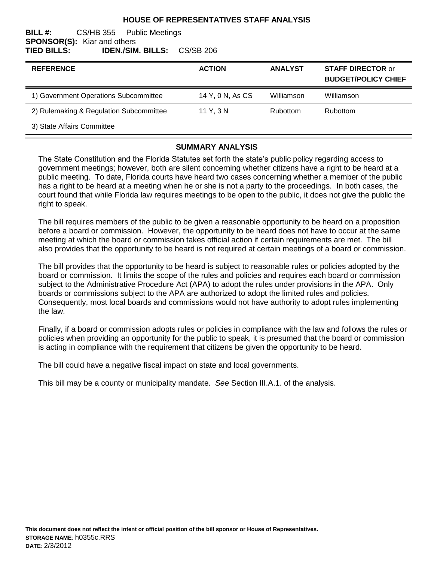## **HOUSE OF REPRESENTATIVES STAFF ANALYSIS**

### **BILL #:** CS/HB 355 Public Meetings **SPONSOR(S):** Kiar and others **TIED BILLS: IDEN./SIM. BILLS:** CS/SB 206

| <b>REFERENCE</b>                        | <b>ACTION</b>    | <b>ANALYST</b> | <b>STAFF DIRECTOR or</b><br><b>BUDGET/POLICY CHIEF</b> |
|-----------------------------------------|------------------|----------------|--------------------------------------------------------|
| 1) Government Operations Subcommittee   | 14 Y, 0 N, As CS | Williamson     | Williamson                                             |
| 2) Rulemaking & Regulation Subcommittee | 11 Y, 3 N        | Rubottom       | Rubottom                                               |
| 3) State Affairs Committee              |                  |                |                                                        |

#### **SUMMARY ANALYSIS**

The State Constitution and the Florida Statutes set forth the state's public policy regarding access to government meetings; however, both are silent concerning whether citizens have a right to be heard at a public meeting. To date, Florida courts have heard two cases concerning whether a member of the public has a right to be heard at a meeting when he or she is not a party to the proceedings. In both cases, the court found that while Florida law requires meetings to be open to the public, it does not give the public the right to speak.

The bill requires members of the public to be given a reasonable opportunity to be heard on a proposition before a board or commission. However, the opportunity to be heard does not have to occur at the same meeting at which the board or commission takes official action if certain requirements are met. The bill also provides that the opportunity to be heard is not required at certain meetings of a board or commission.

The bill provides that the opportunity to be heard is subject to reasonable rules or policies adopted by the board or commission. It limits the scope of the rules and policies and requires each board or commission subject to the Administrative Procedure Act (APA) to adopt the rules under provisions in the APA. Only boards or commissions subject to the APA are authorized to adopt the limited rules and policies. Consequently, most local boards and commissions would not have authority to adopt rules implementing the law.

Finally, if a board or commission adopts rules or policies in compliance with the law and follows the rules or policies when providing an opportunity for the public to speak, it is presumed that the board or commission is acting in compliance with the requirement that citizens be given the opportunity to be heard.

The bill could have a negative fiscal impact on state and local governments.

This bill may be a county or municipality mandate. *See* Section III.A.1. of the analysis.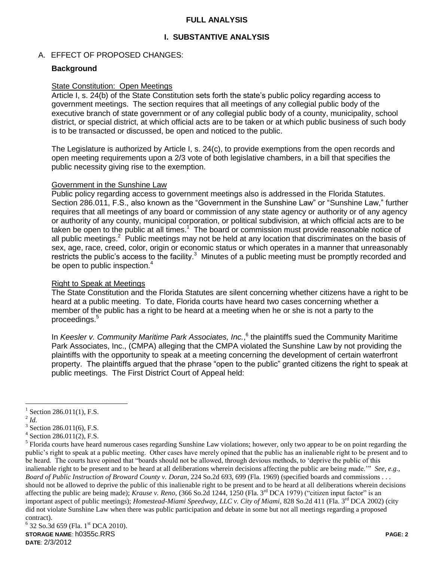## **FULL ANALYSIS**

# **I. SUBSTANTIVE ANALYSIS**

## A. EFFECT OF PROPOSED CHANGES:

## **Background**

### State Constitution: Open Meetings

Article I, s. 24(b) of the State Constitution sets forth the state's public policy regarding access to government meetings. The section requires that all meetings of any collegial public body of the executive branch of state government or of any collegial public body of a county, municipality, school district, or special district, at which official acts are to be taken or at which public business of such body is to be transacted or discussed, be open and noticed to the public.

The Legislature is authorized by Article I, s. 24(c), to provide exemptions from the open records and open meeting requirements upon a 2/3 vote of both legislative chambers, in a bill that specifies the public necessity giving rise to the exemption.

#### Government in the Sunshine Law

Public policy regarding access to government meetings also is addressed in the Florida Statutes. Section 286.011, F.S., also known as the "Government in the Sunshine Law" or "Sunshine Law," further requires that all meetings of any board or commission of any state agency or authority or of any agency or authority of any county, municipal corporation, or political subdivision, at which official acts are to be taken be open to the public at all times.<sup>1</sup> The board or commission must provide reasonable notice of all public meetings.<sup>2</sup> Public meetings may not be held at any location that discriminates on the basis of sex, age, race, creed, color, origin or economic status or which operates in a manner that unreasonably restricts the public's access to the facility. $3$  Minutes of a public meeting must be promptly recorded and be open to public inspection.<sup>4</sup>

### Right to Speak at Meetings

The State Constitution and the Florida Statutes are silent concerning whether citizens have a right to be heard at a public meeting. To date, Florida courts have heard two cases concerning whether a member of the public has a right to be heard at a meeting when he or she is not a party to the proceedings.<sup>5</sup>

In *Keesler v. Community Maritime Park Associates, Inc.*,<sup>6</sup> the plaintiffs sued the Community Maritime Park Associates, Inc., (CMPA) alleging that the CMPA violated the Sunshine Law by not providing the plaintiffs with the opportunity to speak at a meeting concerning the development of certain waterfront property. The plaintiffs argued that the phrase "open to the public" granted citizens the right to speak at public meetings. The First District Court of Appeal held:

<sup>1</sup> Section 286.011(1), F.S.

<sup>2</sup> *Id.*

 $3$  Section 286.011(6), F.S.

<sup>4</sup> Section 286.011(2), F.S.

<sup>&</sup>lt;sup>5</sup> Florida courts have heard numerous cases regarding Sunshine Law violations; however, only two appear to be on point regarding the public"s right to speak at a public meeting. Other cases have merely opined that the public has an inalienable right to be present and to be heard. The courts have opined that "boards should not be allowed, through devious methods, to "deprive the public of this inalienable right to be present and to be heard at all deliberations wherein decisions affecting the public are being made."" *See, e.g., Board of Public Instruction of Broward County v. Doran*, 224 So.2d 693, 699 (Fla. 1969) (specified boards and commissions . . . should not be allowed to deprive the public of this inalienable right to be present and to be heard at all deliberations wherein decisions affecting the public are being made); *Krause v. Reno,* (366 So.2d 1244, 1250 (Fla. 3<sup>rd</sup> DCA 1979) ("citizen input factor" is an important aspect of public meetings); *Homestead-Miami Speedway, LLC v. City of Miami*, 828 So.2d 411 (Fla. 3<sup>rd</sup> DCA 2002) (city did not violate Sunshine Law when there was public participation and debate in some but not all meetings regarding a proposed contract).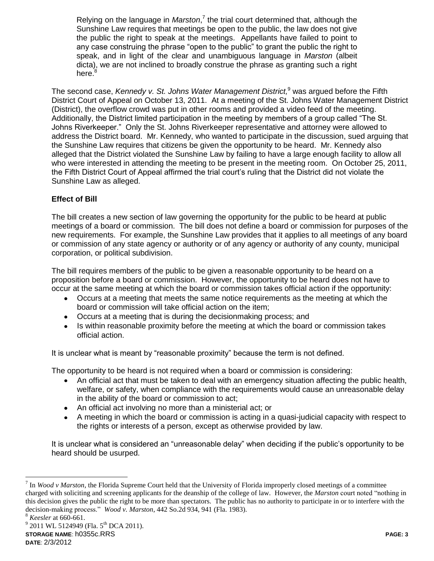Relying on the language in *Marston*,<sup>7</sup> the trial court determined that, although the Sunshine Law requires that meetings be open to the public, the law does not give the public the right to speak at the meetings. Appellants have failed to point to any case construing the phrase "open to the public" to grant the public the right to speak, and in light of the clear and unambiguous language in *Marston* (albeit dicta), we are not inclined to broadly construe the phrase as granting such a right here.<sup>8</sup>

The second case, *Kennedy v. St. Johns Water Management District,* <sup>9</sup> was argued before the Fifth District Court of Appeal on October 13, 2011. At a meeting of the St. Johns Water Management District (District), the overflow crowd was put in other rooms and provided a video feed of the meeting. Additionally, the District limited participation in the meeting by members of a group called "The St. Johns Riverkeeper." Only the St. Johns Riverkeeper representative and attorney were allowed to address the District board. Mr. Kennedy, who wanted to participate in the discussion, sued arguing that the Sunshine Law requires that citizens be given the opportunity to be heard. Mr. Kennedy also alleged that the District violated the Sunshine Law by failing to have a large enough facility to allow all who were interested in attending the meeting to be present in the meeting room. On October 25, 2011, the Fifth District Court of Appeal affirmed the trial court's ruling that the District did not violate the Sunshine Law as alleged.

# **Effect of Bill**

The bill creates a new section of law governing the opportunity for the public to be heard at public meetings of a board or commission. The bill does not define a board or commission for purposes of the new requirements. For example, the Sunshine Law provides that it applies to all meetings of any board or commission of any state agency or authority or of any agency or authority of any county, municipal corporation, or political subdivision.

The bill requires members of the public to be given a reasonable opportunity to be heard on a proposition before a board or commission. However, the opportunity to be heard does not have to occur at the same meeting at which the board or commission takes official action if the opportunity:

- Occurs at a meeting that meets the same notice requirements as the meeting at which the  $\bullet$ board or commission will take official action on the item;
- Occurs at a meeting that is during the decisionmaking process; and
- $\bullet$ Is within reasonable proximity before the meeting at which the board or commission takes official action.

It is unclear what is meant by "reasonable proximity" because the term is not defined.

The opportunity to be heard is not required when a board or commission is considering:

- An official act that must be taken to deal with an emergency situation affecting the public health, welfare, or safety, when compliance with the requirements would cause an unreasonable delay in the ability of the board or commission to act;
- An official act involving no more than a ministerial act; or
- A meeting in which the board or commission is acting in a quasi-judicial capacity with respect to the rights or interests of a person, except as otherwise provided by law.

It is unclear what is considered an "unreasonable delay" when deciding if the public's opportunity to be heard should be usurped.

<sup>&</sup>lt;sup>7</sup> In *Wood v Marston*, the Florida Supreme Court held that the University of Florida improperly closed meetings of a committee charged with soliciting and screening applicants for the deanship of the college of law. However, the *Marston* court noted "nothing in this decision gives the public the right to be more than spectators. The public has no authority to participate in or to interfere with the decision-making process." *Wood v. Marston*, 442 So.2d 934, 941 (Fla. 1983).

<sup>8</sup> *Keesler* at 660-661.

**STORAGE NAME**: h0355c.RRS **PAGE: 3** <sup>9</sup> 2011 WL 5124949 (Fla. 5<sup>th</sup> DCA 2011).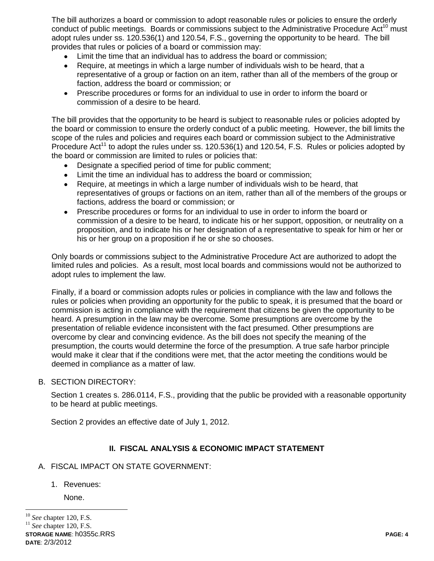The bill authorizes a board or commission to adopt reasonable rules or policies to ensure the orderly conduct of public meetings. Boards or commissions subject to the Administrative Procedure Act<sup>10</sup> must adopt rules under ss. 120.536(1) and 120.54, F.S., governing the opportunity to be heard. The bill provides that rules or policies of a board or commission may:

- Limit the time that an individual has to address the board or commission;
- $\bullet$ Require, at meetings in which a large number of individuals wish to be heard, that a representative of a group or faction on an item, rather than all of the members of the group or faction, address the board or commission; or
- Prescribe procedures or forms for an individual to use in order to inform the board or commission of a desire to be heard.

The bill provides that the opportunity to be heard is subject to reasonable rules or policies adopted by the board or commission to ensure the orderly conduct of a public meeting. However, the bill limits the scope of the rules and policies and requires each board or commission subject to the Administrative Procedure Act<sup>11</sup> to adopt the rules under ss.  $120.536(1)$  and  $120.54$ , F.S. Rules or policies adopted by the board or commission are limited to rules or policies that:

- Designate a specified period of time for public comment;
- Limit the time an individual has to address the board or commission;
- Require, at meetings in which a large number of individuals wish to be heard, that  $\bullet$ representatives of groups or factions on an item, rather than all of the members of the groups or factions, address the board or commission; or
- Prescribe procedures or forms for an individual to use in order to inform the board or commission of a desire to be heard, to indicate his or her support, opposition, or neutrality on a proposition, and to indicate his or her designation of a representative to speak for him or her or his or her group on a proposition if he or she so chooses.

Only boards or commissions subject to the Administrative Procedure Act are authorized to adopt the limited rules and policies. As a result, most local boards and commissions would not be authorized to adopt rules to implement the law.

Finally, if a board or commission adopts rules or policies in compliance with the law and follows the rules or policies when providing an opportunity for the public to speak, it is presumed that the board or commission is acting in compliance with the requirement that citizens be given the opportunity to be heard. A presumption in the law may be overcome. Some presumptions are overcome by the presentation of reliable evidence inconsistent with the fact presumed. Other presumptions are overcome by clear and convincing evidence. As the bill does not specify the meaning of the presumption, the courts would determine the force of the presumption. A true safe harbor principle would make it clear that if the conditions were met, that the actor meeting the conditions would be deemed in compliance as a matter of law.

B. SECTION DIRECTORY:

Section 1 creates s. 286.0114, F.S., providing that the public be provided with a reasonable opportunity to be heard at public meetings.

Section 2 provides an effective date of July 1, 2012.

# **II. FISCAL ANALYSIS & ECONOMIC IMPACT STATEMENT**

- A. FISCAL IMPACT ON STATE GOVERNMENT:
	- 1. Revenues:

None.

<sup>10</sup> *See* chapter 120, F.S. <sup>11</sup> *See* chapter 120, F.S.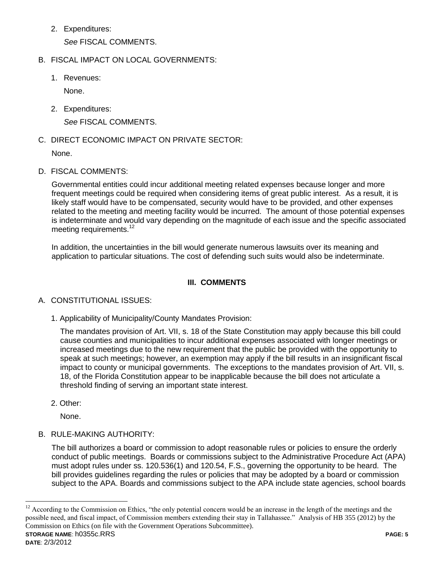2. Expenditures:

*See* FISCAL COMMENTS.

# B. FISCAL IMPACT ON LOCAL GOVERNMENTS:

1. Revenues:

None.

2. Expenditures:

*See* FISCAL COMMENTS.

C. DIRECT ECONOMIC IMPACT ON PRIVATE SECTOR:

None.

D. FISCAL COMMENTS:

Governmental entities could incur additional meeting related expenses because longer and more frequent meetings could be required when considering items of great public interest. As a result, it is likely staff would have to be compensated, security would have to be provided, and other expenses related to the meeting and meeting facility would be incurred. The amount of those potential expenses is indeterminate and would vary depending on the magnitude of each issue and the specific associated meeting requirements.<sup>12</sup>

In addition, the uncertainties in the bill would generate numerous lawsuits over its meaning and application to particular situations. The cost of defending such suits would also be indeterminate.

# **III. COMMENTS**

# A. CONSTITUTIONAL ISSUES:

1. Applicability of Municipality/County Mandates Provision:

The mandates provision of Art. VII, s. 18 of the State Constitution may apply because this bill could cause counties and municipalities to incur additional expenses associated with longer meetings or increased meetings due to the new requirement that the public be provided with the opportunity to speak at such meetings; however, an exemption may apply if the bill results in an insignificant fiscal impact to county or municipal governments. The exceptions to the mandates provision of Art. VII, s. 18, of the Florida Constitution appear to be inapplicable because the bill does not articulate a threshold finding of serving an important state interest.

2. Other:

None.

B. RULE-MAKING AUTHORITY:

The bill authorizes a board or commission to adopt reasonable rules or policies to ensure the orderly conduct of public meetings. Boards or commissions subject to the Administrative Procedure Act (APA) must adopt rules under ss. 120.536(1) and 120.54, F.S., governing the opportunity to be heard. The bill provides guidelines regarding the rules or policies that may be adopted by a board or commission subject to the APA. Boards and commissions subject to the APA include state agencies, school boards

**STORAGE NAME**: h0355c.RRS **PAGE: 5**  $12$  According to the Commission on Ethics, "the only potential concern would be an increase in the length of the meetings and the possible need, and fiscal impact, of Commission members extending their stay in Tallahassee." Analysis of HB 355 (2012) by the Commission on Ethics (on file with the Government Operations Subcommittee).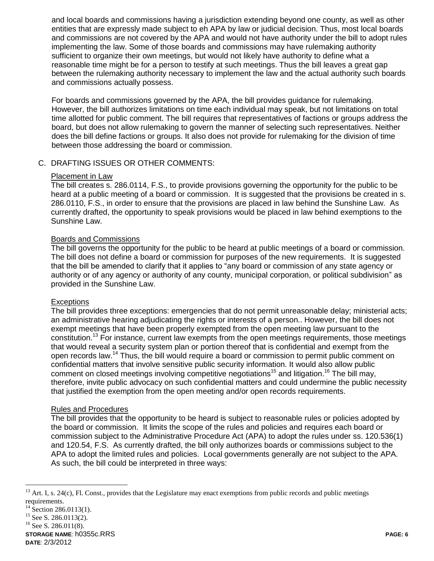and local boards and commissions having a jurisdiction extending beyond one county, as well as other entities that are expressly made subject to eh APA by law or judicial decision. Thus, most local boards and commissions are not covered by the APA and would not have authority under the bill to adopt rules implementing the law. Some of those boards and commissions may have rulemaking authority sufficient to organize their own meetings, but would not likely have authority to define what a reasonable time might be for a person to testify at such meetings. Thus the bill leaves a great gap between the rulemaking authority necessary to implement the law and the actual authority such boards and commissions actually possess.

For boards and commissions governed by the APA, the bill provides guidance for rulemaking. However, the bill authorizes limitations on time each individual may speak, but not limitations on total time allotted for public comment. The bill requires that representatives of factions or groups address the board, but does not allow rulemaking to govern the manner of selecting such representatives. Neither does the bill define factions or groups. It also does not provide for rulemaking for the division of time between those addressing the board or commission.

# C. DRAFTING ISSUES OR OTHER COMMENTS:

### Placement in Law

The bill creates s. 286.0114, F.S., to provide provisions governing the opportunity for the public to be heard at a public meeting of a board or commission. It is suggested that the provisions be created in s. 286.0110, F.S., in order to ensure that the provisions are placed in law behind the Sunshine Law. As currently drafted, the opportunity to speak provisions would be placed in law behind exemptions to the Sunshine Law.

# Boards and Commissions

The bill governs the opportunity for the public to be heard at public meetings of a board or commission. The bill does not define a board or commission for purposes of the new requirements. It is suggested that the bill be amended to clarify that it applies to "any board or commission of any state agency or authority or of any agency or authority of any county, municipal corporation, or political subdivision" as provided in the Sunshine Law.

### **Exceptions**

The bill provides three exceptions: emergencies that do not permit unreasonable delay; ministerial acts; an administrative hearing adjudicating the rights or interests of a person.. However, the bill does not exempt meetings that have been properly exempted from the open meeting law pursuant to the constitution.<sup>13</sup> For instance, current law exempts from the open meetings requirements, those meetings that would reveal a security system plan or portion thereof that is confidential and exempt from the open records law.<sup>14</sup> Thus, the bill would require a board or commission to permit public comment on confidential matters that involve sensitive public security information. It would also allow public comment on closed meetings involving competitive negotiations<sup>15</sup> and litigation.<sup>16</sup> The bill may, therefore, invite public advocacy on such confidential matters and could undermine the public necessity that justified the exemption from the open meeting and/or open records requirements.

## Rules and Procedures

The bill provides that the opportunity to be heard is subject to reasonable rules or policies adopted by the board or commission. It limits the scope of the rules and policies and requires each board or commission subject to the Administrative Procedure Act (APA) to adopt the rules under ss. 120.536(1) and 120.54, F.S. As currently drafted, the bill only authorizes boards or commissions subject to the APA to adopt the limited rules and policies. Local governments generally are not subject to the APA. As such, the bill could be interpreted in three ways:

 $\overline{a}$ 

**STORAGE NAME**: h0355c.RRS **PAGE: 6 DATE**: 2/3/2012

 $13$  Art. I, s. 24(c), Fl. Const., provides that the Legislature may enact exemptions from public records and public meetings requirements.

Section 286.0113(1).

<sup>&</sup>lt;sup>15</sup> See S. 286.0113(2).

<sup>&</sup>lt;sup>16</sup> See S. 286.011(8).